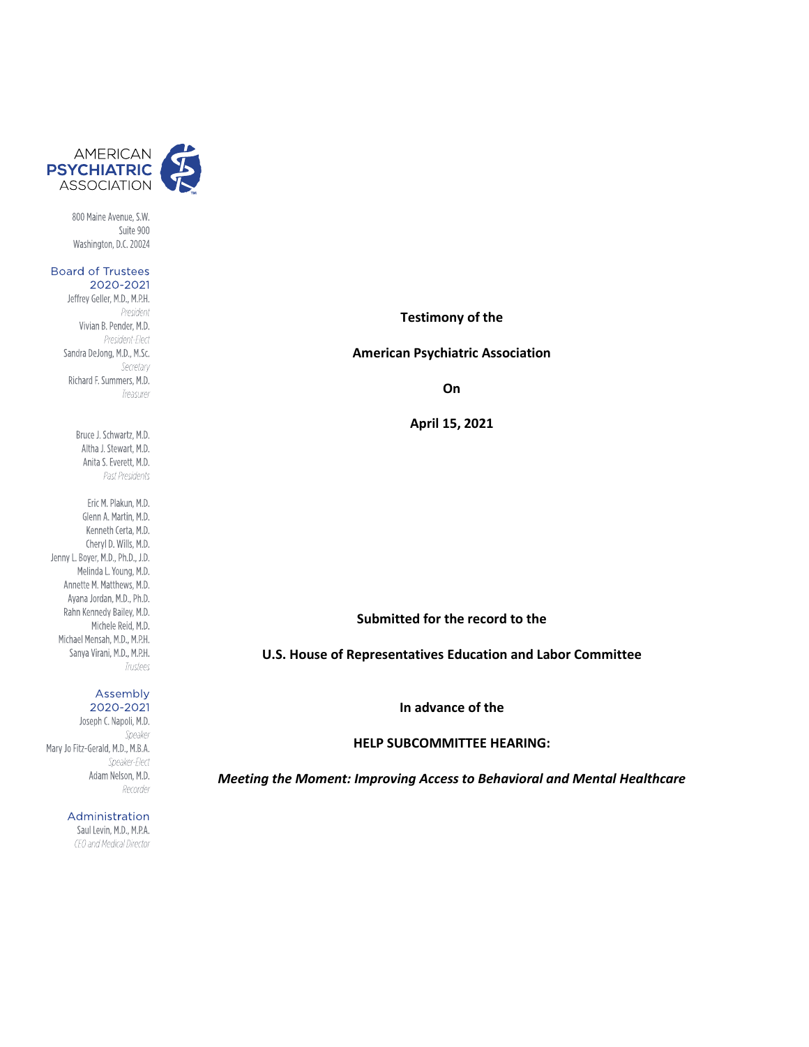

800 Maine Avenue, S.W. Suite 900 Washington, D.C. 20024

#### **Board of Trustees** 2020-2021

Jeffrey Geller, M.D., M.P.H. President Vivian B. Pender, M.D. President-Flect Sandra DeJong, M.D., M.Sc. Secretary Richard F. Summers, M.D. Treasurer

> Bruce J. Schwartz, M.D. Altha J. Stewart, M.D. Anita S. Everett, M.D. Past Presidents

Eric M. Plakun, M.D. Glenn A. Martin, M.D. Kenneth Certa, M.D. Cheryl D. Wills, M.D. Jenny L. Boyer, M.D., Ph.D., J.D. Melinda L. Young, M.D. Annette M. Matthews, M.D. Ayana Jordan, M.D., Ph.D. Rahn Kennedy Bailey, M.D. Michele Reid, M.D. Michael Mensah, M.D., M.P.H. Sanya Virani, M.D., M.P.H. Trustees

#### Assembly 2020-2021

Joseph C. Napoli, M.D. Speaker Mary Jo Fitz-Gerald, M.D., M.B.A. Speaker-Flect Adam Nelson, M.D. Recorder

> Administration Saul Levin, M.D., M.P.A. CEO and Medical Director

#### **Testimony of the**

#### **American Psychiatric Association**

**On**

**April 15, 2021**

# **Submitted for the record to the**

**U.S. House of Representatives Education and Labor Committee**

**In advance of the**

**HELP SUBCOMMITTEE HEARING:**

*Meeting the Moment: Improving Access to Behavioral and Mental Healthcare*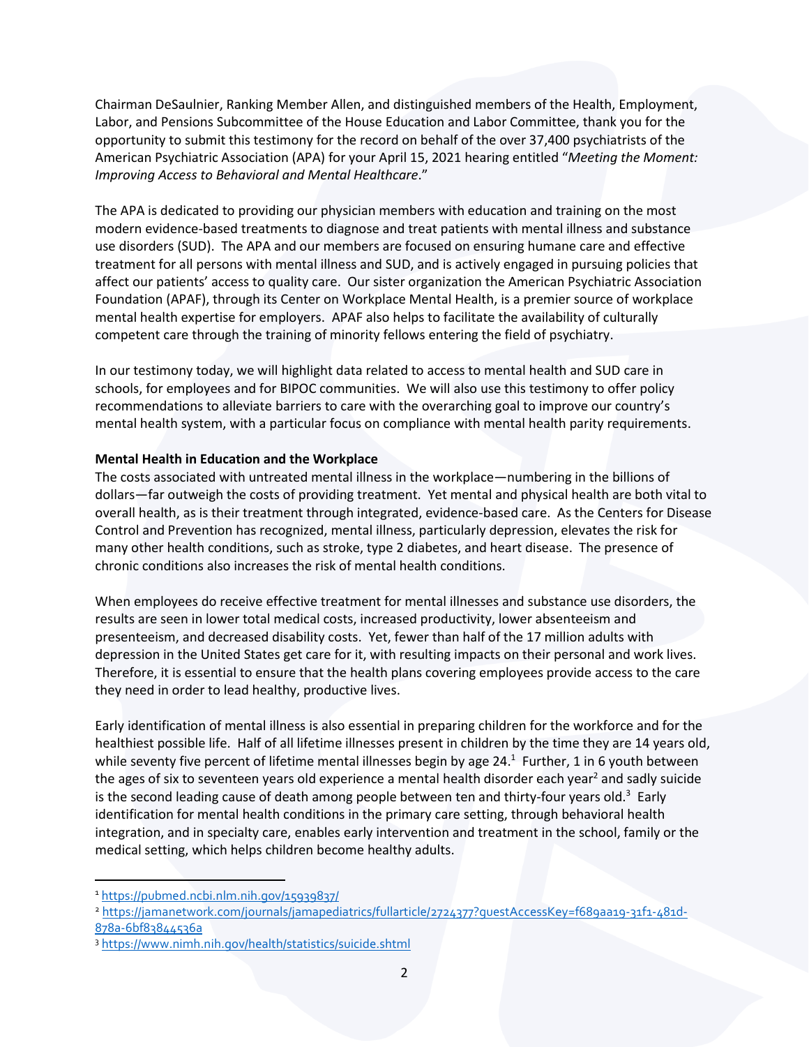Chairman DeSaulnier, Ranking Member Allen, and distinguished members of the Health, Employment, Labor, and Pensions Subcommittee of the House Education and Labor Committee, thank you for the opportunity to submit this testimony for the record on behalf of the over 37,400 psychiatrists of the American Psychiatric Association (APA) for your April 15, 2021 hearing entitled "*Meeting the Moment: Improving Access to Behavioral and Mental Healthcare*."

The APA is dedicated to providing our physician members with education and training on the most modern evidence-based treatments to diagnose and treat patients with mental illness and substance use disorders (SUD). The APA and our members are focused on ensuring humane care and effective treatment for all persons with mental illness and SUD, and is actively engaged in pursuing policies that affect our patients' access to quality care. Our sister organization the American Psychiatric Association Foundation (APAF), through its Center on Workplace Mental Health, is a premier source of workplace mental health expertise for employers. APAF also helps to facilitate the availability of culturally competent care through the training of minority fellows entering the field of psychiatry.

In our testimony today, we will highlight data related to access to mental health and SUD care in schools, for employees and for BIPOC communities. We will also use this testimony to offer policy recommendations to alleviate barriers to care with the overarching goal to improve our country's mental health system, with a particular focus on compliance with mental health parity requirements.

## **Mental Health in Education and the Workplace**

The costs associated with untreated mental illness in the workplace—numbering in the billions of dollars—far outweigh the costs of providing treatment. Yet mental and physical health are both vital to overall health, as is their treatment through integrated, evidence-based care. As the Centers for Disease Control and Prevention has recognized, mental illness, particularly depression, elevates the risk for many other health conditions, such as stroke, type 2 diabetes, and heart disease. The presence of chronic conditions also increases the risk of mental health conditions.

When employees do receive effective treatment for mental illnesses and substance use disorders, the results are seen in lower total medical costs, increased productivity, lower absenteeism and presenteeism, and decreased disability costs. Yet, fewer than half of the 17 million adults with depression in the United States get care for it, with resulting impacts on their personal and work lives. Therefore, it is essential to ensure that the health plans covering employees provide access to the care they need in order to lead healthy, productive lives.

Early identification of mental illness is also essential in preparing children for the workforce and for the healthiest possible life. Half of all lifetime illnesses present in children by the time they are 14 years old, while seventy five percent of lifetime mental illnesses begin by age 24.<sup>1</sup> Further, 1 in 6 youth between the ages of six to seventeen years old experience a mental health disorder each year<sup>2</sup> and sadly suicide is the second leading cause of death among people between ten and thirty-four years old.<sup>3</sup> Early identification for mental health conditions in the primary care setting, through behavioral health integration, and in specialty care, enables early intervention and treatment in the school, family or the medical setting, which helps children become healthy adults.

<sup>1</sup> <https://pubmed.ncbi.nlm.nih.gov/15939837/>

<sup>2</sup> [https://jamanetwork.com/journals/jamapediatrics/fullarticle/2724377?guestAccessKey=f689aa19-31f1-481d-](https://jamanetwork.com/journals/jamapediatrics/fullarticle/2724377?guestAccessKey=f689aa19-31f1-481d-878a-6bf83844536a)[878a-6bf83844536a](https://jamanetwork.com/journals/jamapediatrics/fullarticle/2724377?guestAccessKey=f689aa19-31f1-481d-878a-6bf83844536a)

<sup>3</sup> <https://www.nimh.nih.gov/health/statistics/suicide.shtml>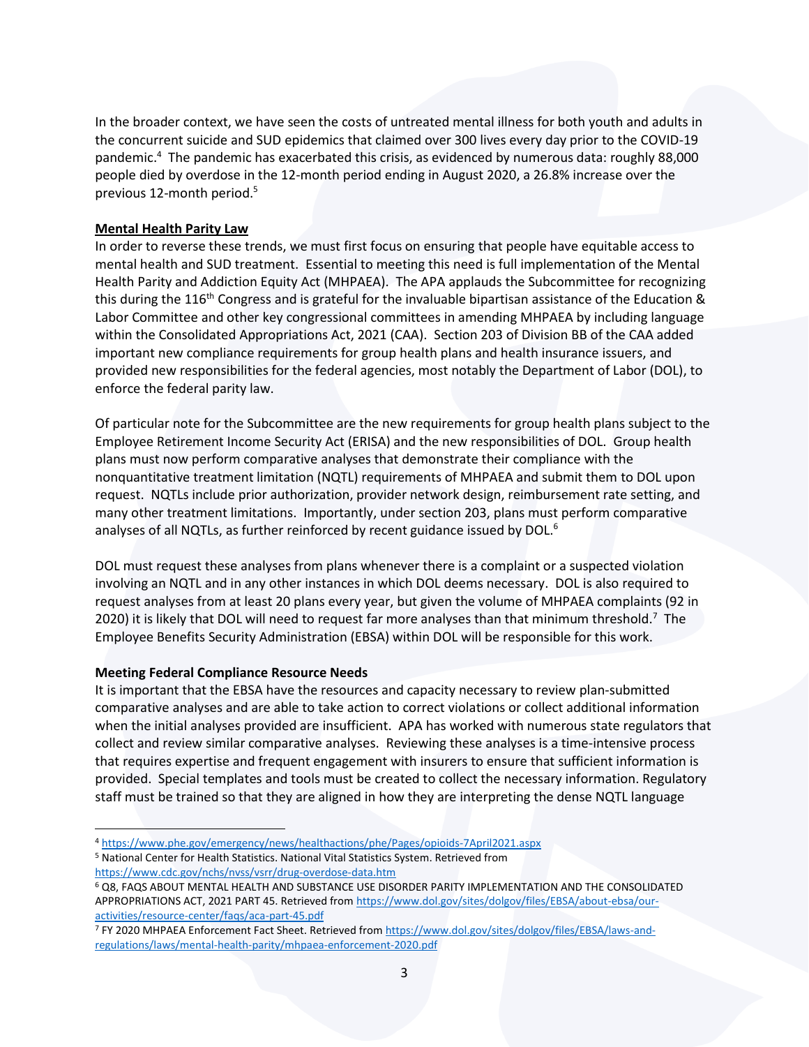In the broader context, we have seen the costs of untreated mental illness for both youth and adults in the concurrent suicide and SUD epidemics that claimed over 300 lives every day prior to the COVID-19 pandemic.<sup>4</sup> The pandemic has exacerbated this crisis, as evidenced by numerous data: roughly 88,000 people died by overdose in the 12-month period ending in August 2020, a 26.8% increase over the previous 12-month period.<sup>5</sup>

#### **Mental Health Parity Law**

In order to reverse these trends, we must first focus on ensuring that people have equitable access to mental health and SUD treatment. Essential to meeting this need is full implementation of the Mental Health Parity and Addiction Equity Act (MHPAEA). The APA applauds the Subcommittee for recognizing this during the 116<sup>th</sup> Congress and is grateful for the invaluable bipartisan assistance of the Education & Labor Committee and other key congressional committees in amending MHPAEA by including language within the Consolidated Appropriations Act, 2021 (CAA). Section 203 of Division BB of the CAA added important new compliance requirements for group health plans and health insurance issuers, and provided new responsibilities for the federal agencies, most notably the Department of Labor (DOL), to enforce the federal parity law.

Of particular note for the Subcommittee are the new requirements for group health plans subject to the Employee Retirement Income Security Act (ERISA) and the new responsibilities of DOL. Group health plans must now perform comparative analyses that demonstrate their compliance with the nonquantitative treatment limitation (NQTL) requirements of MHPAEA and submit them to DOL upon request. NQTLs include prior authorization, provider network design, reimbursement rate setting, and many other treatment limitations. Importantly, under section 203, plans must perform comparative analyses of all NQTLs, as further reinforced by recent guidance issued by DOL.<sup>6</sup>

DOL must request these analyses from plans whenever there is a complaint or a suspected violation involving an NQTL and in any other instances in which DOL deems necessary. DOL is also required to request analyses from at least 20 plans every year, but given the volume of MHPAEA complaints (92 in 2020) it is likely that DOL will need to request far more analyses than that minimum threshold.<sup>7</sup> The Employee Benefits Security Administration (EBSA) within DOL will be responsible for this work.

## **Meeting Federal Compliance Resource Needs**

It is important that the EBSA have the resources and capacity necessary to review plan-submitted comparative analyses and are able to take action to correct violations or collect additional information when the initial analyses provided are insufficient. APA has worked with numerous state regulators that collect and review similar comparative analyses. Reviewing these analyses is a time-intensive process that requires expertise and frequent engagement with insurers to ensure that sufficient information is provided. Special templates and tools must be created to collect the necessary information. Regulatory staff must be trained so that they are aligned in how they are interpreting the dense NQTL language

<sup>5</sup> National Center for Health Statistics. National Vital Statistics System. Retrieved from

<https://www.cdc.gov/nchs/nvss/vsrr/drug-overdose-data.htm>

<sup>4</sup> <https://www.phe.gov/emergency/news/healthactions/phe/Pages/opioids-7April2021.aspx>

<sup>6</sup> Q8, FAQS ABOUT MENTAL HEALTH AND SUBSTANCE USE DISORDER PARITY IMPLEMENTATION AND THE CONSOLIDATED APPROPRIATIONS ACT, 2021 PART 45. Retrieved fro[m https://www.dol.gov/sites/dolgov/files/EBSA/about-ebsa/our](https://www.dol.gov/sites/dolgov/files/EBSA/about-ebsa/our-activities/resource-center/faqs/aca-part-45.pdf)[activities/resource-center/faqs/aca-part-45.pdf](https://www.dol.gov/sites/dolgov/files/EBSA/about-ebsa/our-activities/resource-center/faqs/aca-part-45.pdf)

<sup>7</sup> FY 2020 MHPAEA Enforcement Fact Sheet. Retrieved from [https://www.dol.gov/sites/dolgov/files/EBSA/laws-and](https://www.dol.gov/sites/dolgov/files/EBSA/laws-and-regulations/laws/mental-health-parity/mhpaea-enforcement-2020.pdf)[regulations/laws/mental-health-parity/mhpaea-enforcement-2020.pdf](https://www.dol.gov/sites/dolgov/files/EBSA/laws-and-regulations/laws/mental-health-parity/mhpaea-enforcement-2020.pdf)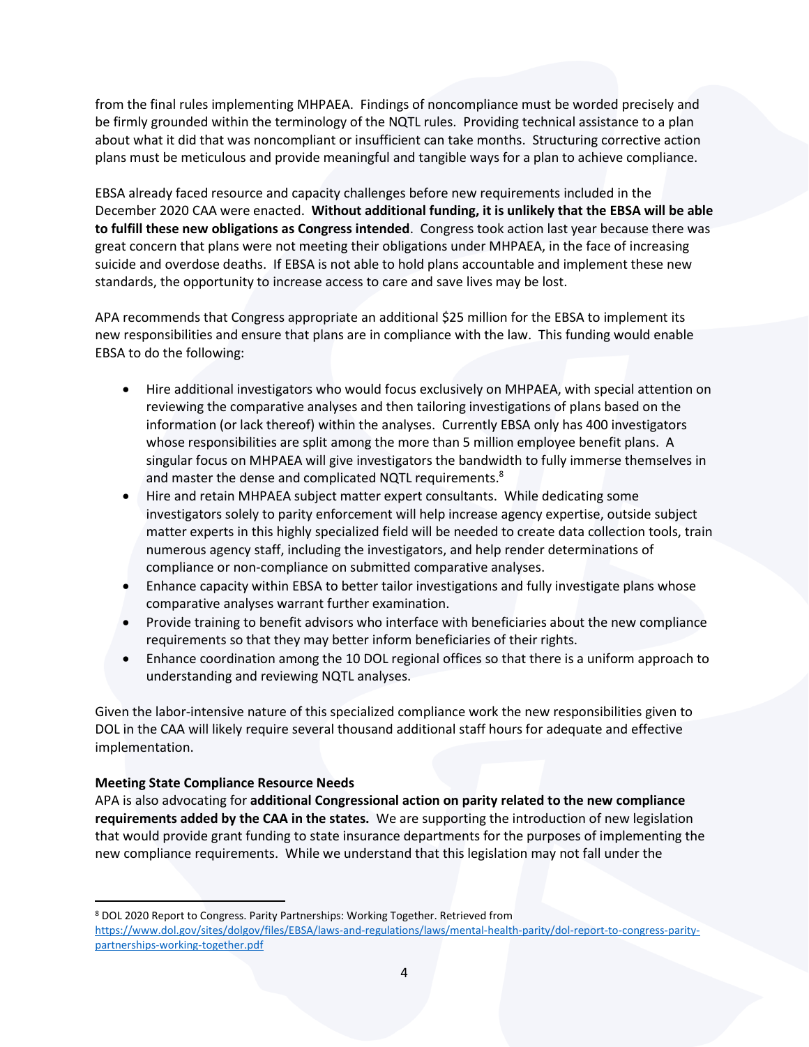from the final rules implementing MHPAEA. Findings of noncompliance must be worded precisely and be firmly grounded within the terminology of the NQTL rules. Providing technical assistance to a plan about what it did that was noncompliant or insufficient can take months. Structuring corrective action plans must be meticulous and provide meaningful and tangible ways for a plan to achieve compliance.

EBSA already faced resource and capacity challenges before new requirements included in the December 2020 CAA were enacted. **Without additional funding, it is unlikely that the EBSA will be able to fulfill these new obligations as Congress intended**. Congress took action last year because there was great concern that plans were not meeting their obligations under MHPAEA, in the face of increasing suicide and overdose deaths. If EBSA is not able to hold plans accountable and implement these new standards, the opportunity to increase access to care and save lives may be lost.

APA recommends that Congress appropriate an additional \$25 million for the EBSA to implement its new responsibilities and ensure that plans are in compliance with the law. This funding would enable EBSA to do the following:

- Hire additional investigators who would focus exclusively on MHPAEA, with special attention on reviewing the comparative analyses and then tailoring investigations of plans based on the information (or lack thereof) within the analyses. Currently EBSA only has 400 investigators whose responsibilities are split among the more than 5 million employee benefit plans. A singular focus on MHPAEA will give investigators the bandwidth to fully immerse themselves in and master the dense and complicated NQTL requirements.<sup>8</sup>
- Hire and retain MHPAEA subject matter expert consultants. While dedicating some investigators solely to parity enforcement will help increase agency expertise, outside subject matter experts in this highly specialized field will be needed to create data collection tools, train numerous agency staff, including the investigators, and help render determinations of compliance or non-compliance on submitted comparative analyses.
- Enhance capacity within EBSA to better tailor investigations and fully investigate plans whose comparative analyses warrant further examination.
- Provide training to benefit advisors who interface with beneficiaries about the new compliance requirements so that they may better inform beneficiaries of their rights.
- Enhance coordination among the 10 DOL regional offices so that there is a uniform approach to understanding and reviewing NQTL analyses.

Given the labor-intensive nature of this specialized compliance work the new responsibilities given to DOL in the CAA will likely require several thousand additional staff hours for adequate and effective implementation.

## **Meeting State Compliance Resource Needs**

APA is also advocating for **additional Congressional action on parity related to the new compliance requirements added by the CAA in the states.** We are supporting the introduction of new legislation that would provide grant funding to state insurance departments for the purposes of implementing the new compliance requirements. While we understand that this legislation may not fall under the

<sup>8</sup> DOL 2020 Report to Congress. Parity Partnerships: Working Together. Retrieved from

[https://www.dol.gov/sites/dolgov/files/EBSA/laws-and-regulations/laws/mental-health-parity/dol-report-to-congress-parity](https://www.dol.gov/sites/dolgov/files/EBSA/laws-and-regulations/laws/mental-health-parity/dol-report-to-congress-parity-partnerships-working-together.pdf)[partnerships-working-together.pdf](https://www.dol.gov/sites/dolgov/files/EBSA/laws-and-regulations/laws/mental-health-parity/dol-report-to-congress-parity-partnerships-working-together.pdf)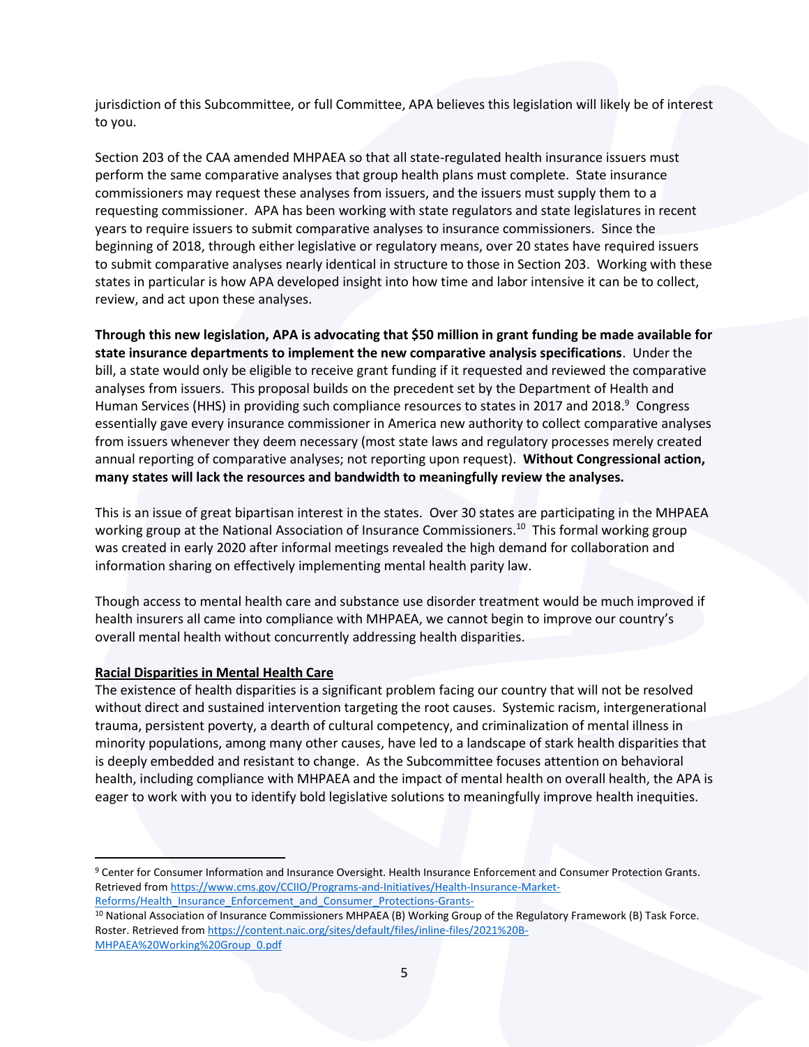jurisdiction of this Subcommittee, or full Committee, APA believes this legislation will likely be of interest to you.

Section 203 of the CAA amended MHPAEA so that all state-regulated health insurance issuers must perform the same comparative analyses that group health plans must complete. State insurance commissioners may request these analyses from issuers, and the issuers must supply them to a requesting commissioner. APA has been working with state regulators and state legislatures in recent years to require issuers to submit comparative analyses to insurance commissioners. Since the beginning of 2018, through either legislative or regulatory means, over 20 states have required issuers to submit comparative analyses nearly identical in structure to those in Section 203. Working with these states in particular is how APA developed insight into how time and labor intensive it can be to collect, review, and act upon these analyses.

**Through this new legislation, APA is advocating that \$50 million in grant funding be made available for state insurance departments to implement the new comparative analysis specifications**. Under the bill, a state would only be eligible to receive grant funding if it requested and reviewed the comparative analyses from issuers. This proposal builds on the precedent set by the Department of Health and Human Services (HHS) in providing such compliance resources to states in 2017 and 2018.<sup>9</sup> Congress essentially gave every insurance commissioner in America new authority to collect comparative analyses from issuers whenever they deem necessary (most state laws and regulatory processes merely created annual reporting of comparative analyses; not reporting upon request). **Without Congressional action, many states will lack the resources and bandwidth to meaningfully review the analyses.**

This is an issue of great bipartisan interest in the states. Over 30 states are participating in the MHPAEA working group at the National Association of Insurance Commissioners.<sup>10</sup> This formal working group was created in early 2020 after informal meetings revealed the high demand for collaboration and information sharing on effectively implementing mental health parity law.

Though access to mental health care and substance use disorder treatment would be much improved if health insurers all came into compliance with MHPAEA, we cannot begin to improve our country's overall mental health without concurrently addressing health disparities.

## **Racial Disparities in Mental Health Care**

The existence of health disparities is a significant problem facing our country that will not be resolved without direct and sustained intervention targeting the root causes. Systemic racism, intergenerational trauma, persistent poverty, a dearth of cultural competency, and criminalization of mental illness in minority populations, among many other causes, have led to a landscape of stark health disparities that is deeply embedded and resistant to change. As the Subcommittee focuses attention on behavioral health, including compliance with MHPAEA and the impact of mental health on overall health, the APA is eager to work with you to identify bold legislative solutions to meaningfully improve health inequities.

<sup>9</sup> Center for Consumer Information and Insurance Oversight. Health Insurance Enforcement and Consumer Protection Grants. Retrieved fro[m https://www.cms.gov/CCIIO/Programs-and-Initiatives/Health-Insurance-Market-](https://www.cms.gov/CCIIO/Programs-and-Initiatives/Health-Insurance-Market-Reforms/Health_Insurance_Enforcement_and_Consumer_Protections-Grants-)[Reforms/Health\\_Insurance\\_Enforcement\\_and\\_Consumer\\_Protections-Grants-](https://www.cms.gov/CCIIO/Programs-and-Initiatives/Health-Insurance-Market-Reforms/Health_Insurance_Enforcement_and_Consumer_Protections-Grants-)

<sup>10</sup> National Association of Insurance Commissioners MHPAEA (B) Working Group of the Regulatory Framework (B) Task Force. Roster. Retrieved from [https://content.naic.org/sites/default/files/inline-files/2021%20B-](https://content.naic.org/sites/default/files/inline-files/2021%20B-MHPAEA%20Working%20Group_0.pdf)[MHPAEA%20Working%20Group\\_0.pdf](https://content.naic.org/sites/default/files/inline-files/2021%20B-MHPAEA%20Working%20Group_0.pdf)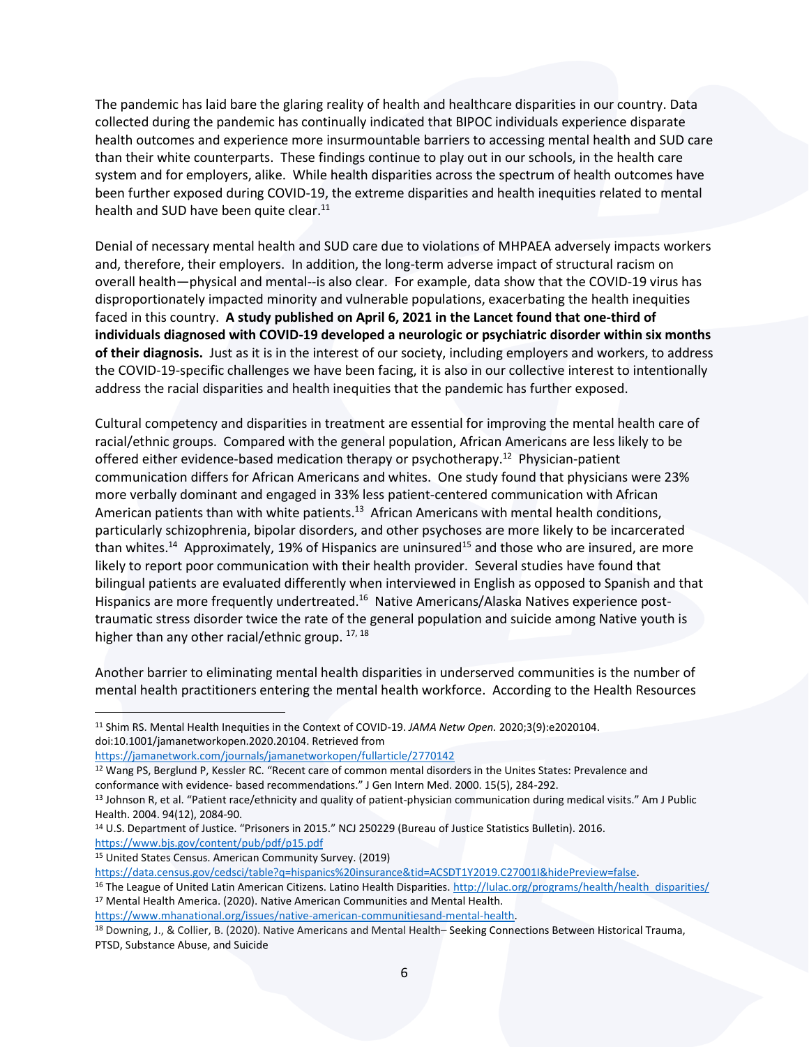The pandemic has laid bare the glaring reality of health and healthcare disparities in our country. Data collected during the pandemic has continually indicated that BIPOC individuals experience disparate health outcomes and experience more insurmountable barriers to accessing mental health and SUD care than their white counterparts. These findings continue to play out in our schools, in the health care system and for employers, alike. While health disparities across the spectrum of health outcomes have been further exposed during COVID-19, the extreme disparities and health inequities related to mental health and SUD have been quite clear.<sup>11</sup>

Denial of necessary mental health and SUD care due to violations of MHPAEA adversely impacts workers and, therefore, their employers. In addition, the long-term adverse impact of structural racism on overall health—physical and mental--is also clear. For example, data show that the COVID-19 virus has disproportionately impacted minority and vulnerable populations, exacerbating the health inequities faced in this country. **A study published on April 6, 2021 in the Lancet found that one-third of individuals diagnosed with COVID-19 developed a neurologic or psychiatric disorder within six months of their diagnosis.** Just as it is in the interest of our society, including employers and workers, to address the COVID-19-specific challenges we have been facing, it is also in our collective interest to intentionally address the racial disparities and health inequities that the pandemic has further exposed.

Cultural competency and disparities in treatment are essential for improving the mental health care of racial/ethnic groups. Compared with the general population, African Americans are less likely to be offered either evidence-based medication therapy or psychotherapy.<sup>12</sup> Physician-patient communication differs for African Americans and whites. One study found that physicians were 23% more verbally dominant and engaged in 33% less patient-centered communication with African American patients than with white patients.<sup>13</sup> African Americans with mental health conditions, particularly schizophrenia, bipolar disorders, and other psychoses are more likely to be incarcerated than whites.<sup>14</sup> Approximately, 19% of Hispanics are uninsured<sup>15</sup> and those who are insured, are more likely to report poor communication with their health provider. Several studies have found that bilingual patients are evaluated differently when interviewed in English as opposed to Spanish and that Hispanics are more frequently undertreated.<sup>16</sup> Native Americans/Alaska Natives experience posttraumatic stress disorder twice the rate of the general population and suicide among Native youth is higher than any other racial/ethnic group. 17, 18

Another barrier to eliminating mental health disparities in underserved communities is the number of mental health practitioners entering the mental health workforce. According to the Health Resources

<sup>11</sup> Shim RS. Mental Health Inequities in the Context of COVID-19. *JAMA Netw Open.* 2020;3(9):e2020104. doi:10.1001/jamanetworkopen.2020.20104. Retrieved from

<https://jamanetwork.com/journals/jamanetworkopen/fullarticle/2770142>

<sup>12</sup> Wang PS, Berglund P, Kessler RC. "Recent care of common mental disorders in the Unites States: Prevalence and conformance with evidence- based recommendations." J Gen Intern Med. 2000. 15(5), 284-292.

<sup>&</sup>lt;sup>13</sup> Johnson R, et al. "Patient race/ethnicity and quality of patient-physician communication during medical visits." Am J Public Health. 2004. 94(12), 2084-90.

<sup>14</sup> U.S. Department of Justice. "Prisoners in 2015." NCJ 250229 (Bureau of Justice Statistics Bulletin). 2016. <https://www.bjs.gov/content/pub/pdf/p15.pdf>

<sup>15</sup> United States Census. American Community Survey. (2019)

[https://data.census.gov/cedsci/table?q=hispanics%20insurance&tid=ACSDT1Y2019.C27001I&hidePreview=false.](https://data.census.gov/cedsci/table?q=hispanics%20insurance&tid=ACSDT1Y2019.C27001I&hidePreview=false)

<sup>&</sup>lt;sup>16</sup> The League of United Latin American Citizens. Latino Health Disparities. [http://lulac.org/programs/health/health\\_disparities/](http://lulac.org/programs/health/health_disparities/) <sup>17</sup> Mental Health America. (2020). Native American Communities and Mental Health.

[https://www.mhanational.org/issues/native-american-communitiesand-mental-health.](https://www.mhanational.org/issues/native-american-communitiesand-mental-health)

<sup>18</sup> Downing, J., & Collier, B. (2020). Native Americans and Mental Health– Seeking Connections Between Historical Trauma, PTSD, Substance Abuse, and Suicide